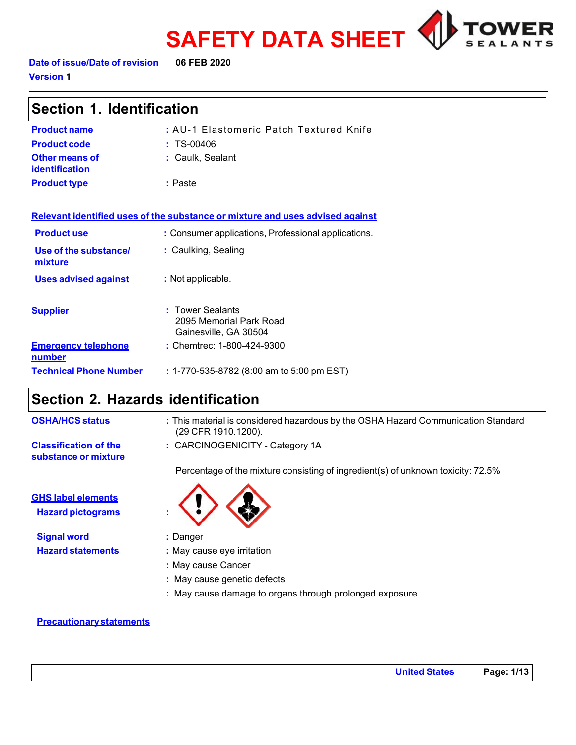



**Date of issue/Date of revision 06 FEB 2020 Version 1**

| Section 1. Identification               |                                                                               |  |
|-----------------------------------------|-------------------------------------------------------------------------------|--|
| <b>Product name</b>                     | : AU-1 Elastomeric Patch Textured Knife                                       |  |
| <b>Product code</b>                     | $: TS-00406$                                                                  |  |
| Other means of<br><b>identification</b> | : Caulk, Sealant                                                              |  |
| <b>Product type</b>                     | : Paste                                                                       |  |
|                                         | Relevant identified uses of the substance or mixture and uses advised against |  |
| <b>Product use</b>                      | : Consumer applications, Professional applications.                           |  |
| Use of the substance/<br>mixture        | : Caulking, Sealing                                                           |  |
| <b>Uses advised against</b>             | : Not applicable.                                                             |  |
| <b>Supplier</b>                         | : Tower Sealants<br>2095 Memorial Park Road<br>Gainesville, GA 30504          |  |
| <b>Emergency telephone</b><br>number    | : Chemtrec: 1-800-424-9300                                                    |  |

**Technical Phone Number :** 1-770-535-8782 (8:00 am to 5:00 pm EST)

# **Section 2. Hazards identification**

| <b>OSHA/HCS status</b>                                | : This material is considered hazardous by the OSHA Hazard Communication Standard<br>(29 CFR 1910.1200). |
|-------------------------------------------------------|----------------------------------------------------------------------------------------------------------|
| <b>Classification of the</b><br>substance or mixture  | : CARCINOGENICITY - Category 1A                                                                          |
|                                                       | Percentage of the mixture consisting of ingredient(s) of unknown toxicity: 72.5%                         |
| <b>GHS label elements</b><br><b>Hazard pictograms</b> | $\langle \cdot \rangle \langle \cdot \rangle$                                                            |
| <b>Olampions</b>                                      | $\cdot$ Depart                                                                                           |

**Signal word :** Danger

- 
- **Hazard statements :** May cause eye irritation
	- **:** May cause Cancer
	- **:** May cause genetic defects
	- **:** May cause damage to organs through prolonged exposure.

### **Precautionarystatements**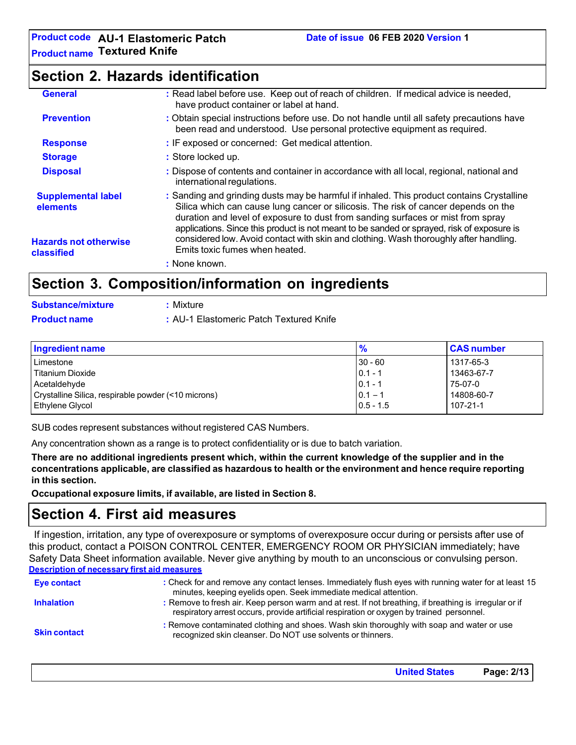## **Section 2. Hazards identification**

| <b>General</b>                             | : Read label before use. Keep out of reach of children. If medical advice is needed,<br>have product container or label at hand.                                                                                                                                                                                                                                 |
|--------------------------------------------|------------------------------------------------------------------------------------------------------------------------------------------------------------------------------------------------------------------------------------------------------------------------------------------------------------------------------------------------------------------|
| <b>Prevention</b>                          | : Obtain special instructions before use. Do not handle until all safety precautions have<br>been read and understood. Use personal protective equipment as required.                                                                                                                                                                                            |
| <b>Response</b>                            | : IF exposed or concerned: Get medical attention.                                                                                                                                                                                                                                                                                                                |
| <b>Storage</b>                             | : Store locked up.                                                                                                                                                                                                                                                                                                                                               |
| <b>Disposal</b>                            | : Dispose of contents and container in accordance with all local, regional, national and<br>international regulations.                                                                                                                                                                                                                                           |
| <b>Supplemental label</b><br>elements      | : Sanding and grinding dusts may be harmful if inhaled. This product contains Crystalline<br>Silica which can cause lung cancer or silicosis. The risk of cancer depends on the<br>duration and level of exposure to dust from sanding surfaces or mist from spray<br>applications. Since this product is not meant to be sanded or sprayed, risk of exposure is |
| <b>Hazards not otherwise</b><br>classified | considered low. Avoid contact with skin and clothing. Wash thoroughly after handling.<br>Emits toxic fumes when heated.                                                                                                                                                                                                                                          |
|                                            | : None known.                                                                                                                                                                                                                                                                                                                                                    |
| Raatian ?                                  | Composition/information on ingradiante                                                                                                                                                                                                                                                                                                                           |

## **Section 3. Composition/information on ingredients**

| <b>Substance/mixture</b> | : Mixture                               |
|--------------------------|-----------------------------------------|
| <b>Product name</b>      | : AU-1 Elastomeric Patch Textured Knife |

| <b>Ingredient name</b>                              | $\frac{9}{6}$ | <b>CAS number</b> |
|-----------------------------------------------------|---------------|-------------------|
| Limestone                                           | $ 30 - 60 $   | 1317-65-3         |
| l Titanium Dioxide                                  | $ 0.1 - 1$    | 13463-67-7        |
| Acetaldehyde                                        | $ 0.1 - 1$    | 75-07-0           |
| Crystalline Silica, respirable powder (<10 microns) | $0.1 - 1$     | 14808-60-7        |
| Ethylene Glycol                                     | $0.5 - 1.5$   | 107-21-1          |

SUB codes represent substances without registered CAS Numbers.

Any concentration shown as a range is to protect confidentiality or is due to batch variation.

**There are no additional ingredients present which, within the current knowledge of the supplier and in the concentrations applicable, are classified as hazardous to health or the environment and hence require reporting in this section.**

**Occupational exposure limits, if available, are listed in Section 8.**

## **Section 4. First aid measures**

If ingestion, irritation, any type of overexposure or symptoms of overexposure occur during or persists after use of this product, contact a POISON CONTROL CENTER, EMERGENCY ROOM OR PHYSICIAN immediately; have Safety Data Sheet information available. Never give anything by mouth to an unconscious or convulsing person. **Description of necessary first aid measures**

| Eye contact         | : Check for and remove any contact lenses. Immediately flush eyes with running water for at least 15<br>minutes, keeping eyelids open. Seek immediate medical attention.                            |  |
|---------------------|-----------------------------------------------------------------------------------------------------------------------------------------------------------------------------------------------------|--|
| <b>Inhalation</b>   | : Remove to fresh air. Keep person warm and at rest. If not breathing, if breathing is irregular or if<br>respiratory arrest occurs, provide artificial respiration or oxygen by trained personnel. |  |
| <b>Skin contact</b> | : Remove contaminated clothing and shoes. Wash skin thoroughly with soap and water or use<br>recognized skin cleanser. Do NOT use solvents or thinners.                                             |  |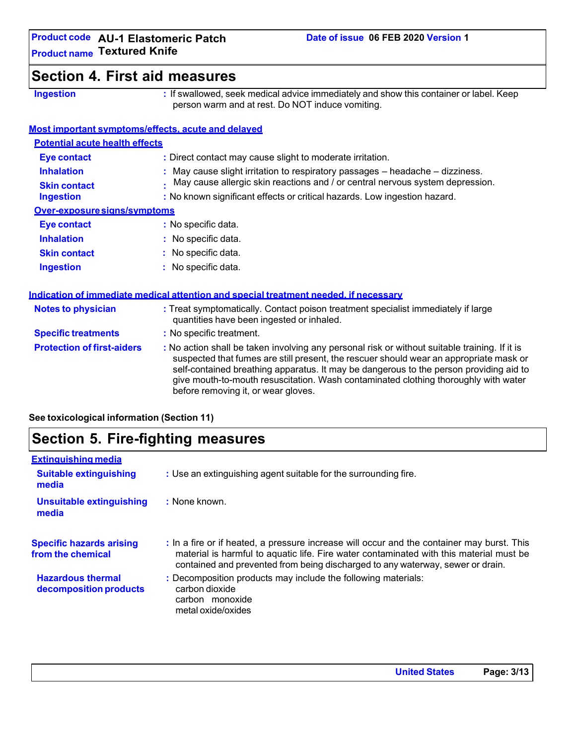# **Section 4. First aid measures**

**Ingestion :** If swallowed, seek medical advice immediately and show this container or label. Keep person warm and at rest. Do NOT induce vomiting.

### **Most important symptoms/effects, acute and delayed**

| <b>Potential acute health effects</b> |                                                                               |
|---------------------------------------|-------------------------------------------------------------------------------|
| <b>Eye contact</b>                    | : Direct contact may cause slight to moderate irritation.                     |
| <b>Inhalation</b>                     | : May cause slight irritation to respiratory passages - headache - dizziness. |
| <b>Skin contact</b>                   | May cause allergic skin reactions and / or central nervous system depression. |
| <b>Ingestion</b>                      | : No known significant effects or critical hazards. Low ingestion hazard.     |
| Over-exposure signs/symptoms          |                                                                               |
| <b>Eye contact</b>                    | : No specific data.                                                           |
| <b>Inhalation</b>                     | : No specific data.                                                           |
| <b>Skin contact</b>                   | : No specific data.                                                           |
| <b>Ingestion</b>                      | $:$ No specific data.                                                         |

### **Indication of immediate medical attention and special treatment needed, if necessary Notes to physician :** Treat symptomatically. Contact poison treatment specialist immediately if large quantities have been ingested or inhaled. **Specific treatments :** No specific treatment. **Protection of first-aiders :** No action shall be taken involving any personal risk or without suitable training. If it is suspected that fumes are still present, the rescuer should wear an appropriate mask or self-contained breathing apparatus. It may be dangerous to the person providing aid to give mouth-to-mouth resuscitation. Wash contaminated clothing thoroughly with water before removing it, or wear gloves.

**See toxicological information (Section 11)**

## **Section 5. Fire-fighting measures**

| <b>Extinguishing media</b>                           |                                                                                                                                                                                                                                                                         |
|------------------------------------------------------|-------------------------------------------------------------------------------------------------------------------------------------------------------------------------------------------------------------------------------------------------------------------------|
| <b>Suitable extinguishing</b><br>media               | : Use an extinguishing agent suitable for the surrounding fire.                                                                                                                                                                                                         |
| <b>Unsuitable extinguishing</b><br>media             | : None known.                                                                                                                                                                                                                                                           |
| <b>Specific hazards arising</b><br>from the chemical | : In a fire or if heated, a pressure increase will occur and the container may burst. This<br>material is harmful to aquatic life. Fire water contaminated with this material must be<br>contained and prevented from being discharged to any waterway, sewer or drain. |
| <b>Hazardous thermal</b><br>decomposition products   | : Decomposition products may include the following materials:<br>carbon dioxide<br>carbon monoxide<br>metal oxide/oxides                                                                                                                                                |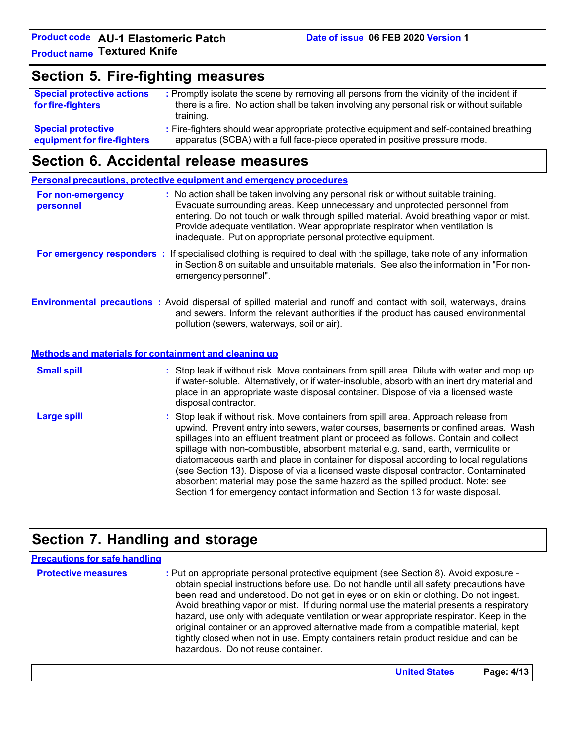## **Section 5. Fire-fighting measures**

| <b>Special protective actions</b>                        | : Promptly isolate the scene by removing all persons from the vicinity of the incident if                                                                                |
|----------------------------------------------------------|--------------------------------------------------------------------------------------------------------------------------------------------------------------------------|
| for fire-fighters                                        | there is a fire. No action shall be taken involving any personal risk or without suitable                                                                                |
|                                                          | training.                                                                                                                                                                |
| <b>Special protective</b><br>equipment for fire-fighters | : Fire-fighters should wear appropriate protective equipment and self-contained breathing<br>apparatus (SCBA) with a full face-piece operated in positive pressure mode. |

## **Section 6. Accidental release measures**

**Personal precautions, protective equipment and emergency procedures For non-emergency personnel :** No action shall be taken involving any personal risk or without suitable training. Evacuate surrounding areas. Keep unnecessary and unprotected personnel from entering. Do not touch or walk through spilled material. Avoid breathing vapor or mist. Provide adequate ventilation. Wear appropriate respirator when ventilation is inadequate. Put on appropriate personal protective equipment. **For emergency responders :** If specialised clothing is required to deal with the spillage, take note of any information in Section 8 on suitable and unsuitable materials. See also the information in "For nonemergency personnel". **Environmental precautions :** Avoid dispersal of spilled material and runoff and contact with soil, waterways, drains and sewers. Inform the relevant authorities if the product has caused environmental pollution (sewers, waterways, soil or air). **Methods and materials for containment and cleaning up Small spill : Large spill :** Stop leak if without risk. Move containers from spill area. Dilute with water and mop up if water-soluble. Alternatively, or if water-insoluble, absorb with an inert dry material and place in an appropriate waste disposal container. Dispose of via a licensed waste disposal contractor. Stop leak if without risk. Move containers from spill area. Approach release from upwind. Prevent entry into sewers, water courses, basements or confined areas. Wash spillages into an effluent treatment plant or proceed as follows. Contain and collect spillage with non-combustible, absorbent material e.g. sand, earth, vermiculite or diatomaceous earth and place in container for disposal according to local regulations (see Section 13). Dispose of via a licensed waste disposal contractor. Contaminated absorbent material may pose the same hazard as the spilled product. Note: see Section 1 for emergency contact information and Section 13 for waste disposal.

# **Section 7. Handling and storage**

| <b>Precautions for safe handling</b> |                                                                                                                                                                                                                                                                                                                                                                                                                                                                                                                                                                                                                                                                                |
|--------------------------------------|--------------------------------------------------------------------------------------------------------------------------------------------------------------------------------------------------------------------------------------------------------------------------------------------------------------------------------------------------------------------------------------------------------------------------------------------------------------------------------------------------------------------------------------------------------------------------------------------------------------------------------------------------------------------------------|
| <b>Protective measures</b>           | : Put on appropriate personal protective equipment (see Section 8). Avoid exposure -<br>obtain special instructions before use. Do not handle until all safety precautions have<br>been read and understood. Do not get in eyes or on skin or clothing. Do not ingest.<br>Avoid breathing vapor or mist. If during normal use the material presents a respiratory<br>hazard, use only with adequate ventilation or wear appropriate respirator. Keep in the<br>original container or an approved alternative made from a compatible material, kept<br>tightly closed when not in use. Empty containers retain product residue and can be<br>hazardous. Do not reuse container. |

**United States Page: 4/13**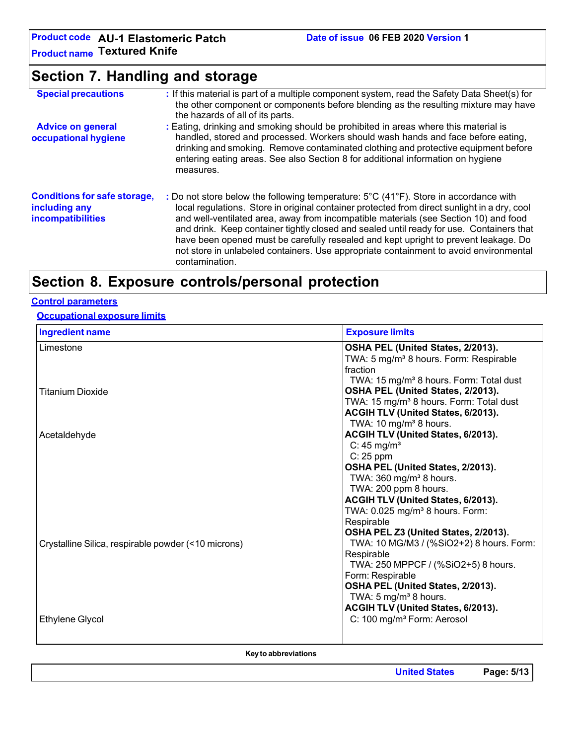**Product code AU-1 Elastomeric Patch Product name Textured Knife**

# **Section 7. Handling and storage**

| <b>Special precautions</b>                                                | : If this material is part of a multiple component system, read the Safety Data Sheet(s) for<br>the other component or components before blending as the resulting mixture may have<br>the hazards of all of its parts.                                                                                                                                                                                                                                                                                                                                                    |
|---------------------------------------------------------------------------|----------------------------------------------------------------------------------------------------------------------------------------------------------------------------------------------------------------------------------------------------------------------------------------------------------------------------------------------------------------------------------------------------------------------------------------------------------------------------------------------------------------------------------------------------------------------------|
| <b>Advice on general</b><br>occupational hygiene                          | : Eating, drinking and smoking should be prohibited in areas where this material is<br>handled, stored and processed. Workers should wash hands and face before eating,<br>drinking and smoking. Remove contaminated clothing and protective equipment before<br>entering eating areas. See also Section 8 for additional information on hygiene<br>measures.                                                                                                                                                                                                              |
| <b>Conditions for safe storage,</b><br>including any<br>incompatibilities | : Do not store below the following temperature: 5°C (41°F). Store in accordance with<br>local regulations. Store in original container protected from direct sunlight in a dry, cool<br>and well-ventilated area, away from incompatible materials (see Section 10) and food<br>and drink. Keep container tightly closed and sealed until ready for use. Containers that<br>have been opened must be carefully resealed and kept upright to prevent leakage. Do<br>not store in unlabeled containers. Use appropriate containment to avoid environmental<br>contamination. |

# **Section 8. Exposure controls/personal protection**

### **Control parameters**

### **Occupational exposure limits**

| <b>Ingredient name</b>                              | <b>Exposure limits</b>                              |
|-----------------------------------------------------|-----------------------------------------------------|
| Limestone                                           | OSHA PEL (United States, 2/2013).                   |
|                                                     | TWA: 5 mg/m <sup>3</sup> 8 hours. Form: Respirable  |
|                                                     | fraction                                            |
|                                                     | TWA: 15 mg/m <sup>3</sup> 8 hours. Form: Total dust |
| <b>Titanium Dioxide</b>                             | OSHA PEL (United States, 2/2013).                   |
|                                                     | TWA: 15 mg/m <sup>3</sup> 8 hours. Form: Total dust |
|                                                     | ACGIH TLV (United States, 6/2013).                  |
|                                                     | TWA: $10 \text{ mg/m}^3$ 8 hours.                   |
| Acetaldehyde                                        | ACGIH TLV (United States, 6/2013).                  |
|                                                     | C: 45 mg/ $m3$                                      |
|                                                     | $C: 25$ ppm                                         |
|                                                     | OSHA PEL (United States, 2/2013).                   |
|                                                     | TWA: 360 mg/m <sup>3</sup> 8 hours.                 |
|                                                     | TWA: 200 ppm 8 hours.                               |
|                                                     | ACGIH TLV (United States, 6/2013).                  |
|                                                     | TWA: 0.025 mg/m <sup>3</sup> 8 hours. Form:         |
|                                                     | Respirable                                          |
|                                                     | OSHA PEL Z3 (United States, 2/2013).                |
| Crystalline Silica, respirable powder (<10 microns) | TWA: 10 MG/M3 / (%SiO2+2) 8 hours. Form:            |
|                                                     | Respirable                                          |
|                                                     | TWA: 250 MPPCF / (%SiO2+5) 8 hours.                 |
|                                                     | Form: Respirable                                    |
|                                                     | OSHA PEL (United States, 2/2013).                   |
|                                                     | TWA: 5 mg/m <sup>3</sup> 8 hours.                   |
|                                                     | ACGIH TLV (United States, 6/2013).                  |
| Ethylene Glycol                                     | C: 100 mg/m <sup>3</sup> Form: Aerosol              |
|                                                     |                                                     |
|                                                     |                                                     |

**Keyto abbreviations**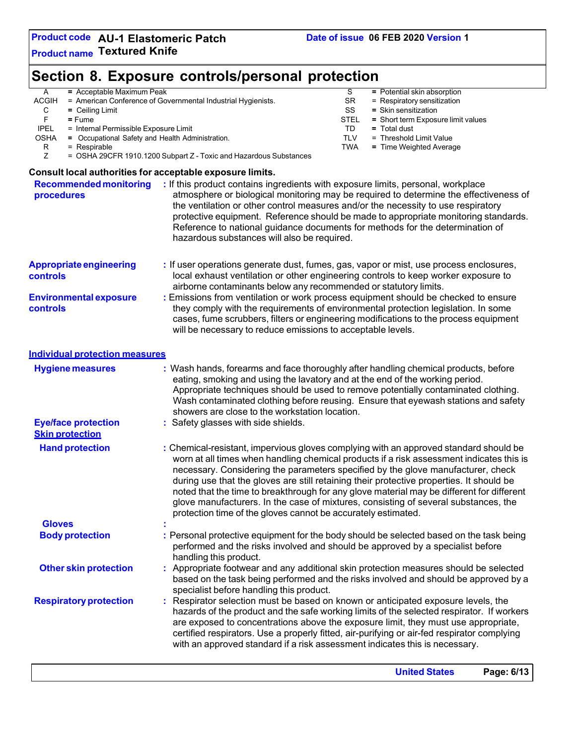# **Section 8. Exposure controls/personal protection**

| = Acceptable Maximum Peak<br>Α                                  |                                                                                                                                                                                                                       | S           | = Potential skin absorption                                                                                                                                                                                                                                                                                                                                                                                                                                                                                                                           |
|-----------------------------------------------------------------|-----------------------------------------------------------------------------------------------------------------------------------------------------------------------------------------------------------------------|-------------|-------------------------------------------------------------------------------------------------------------------------------------------------------------------------------------------------------------------------------------------------------------------------------------------------------------------------------------------------------------------------------------------------------------------------------------------------------------------------------------------------------------------------------------------------------|
| <b>ACGIH</b><br>С                                               | = American Conference of Governmental Industrial Hygienists.                                                                                                                                                          | SR<br>SS    | = Respiratory sensitization<br>= Skin sensitization                                                                                                                                                                                                                                                                                                                                                                                                                                                                                                   |
| $=$ Ceiling Limit<br>F<br>$=$ Fume                              |                                                                                                                                                                                                                       | <b>STEL</b> | = Short term Exposure limit values                                                                                                                                                                                                                                                                                                                                                                                                                                                                                                                    |
| <b>IPEL</b><br>= Internal Permissible Exposure Limit            |                                                                                                                                                                                                                       | TD          | = Total dust                                                                                                                                                                                                                                                                                                                                                                                                                                                                                                                                          |
| <b>OSHA</b><br>= Occupational Safety and Health Administration. |                                                                                                                                                                                                                       | <b>TLV</b>  | = Threshold Limit Value                                                                                                                                                                                                                                                                                                                                                                                                                                                                                                                               |
| R<br>$=$ Respirable                                             |                                                                                                                                                                                                                       | <b>TWA</b>  | = Time Weighted Average                                                                                                                                                                                                                                                                                                                                                                                                                                                                                                                               |
| Ζ                                                               | = OSHA 29CFR 1910.1200 Subpart Z - Toxic and Hazardous Substances                                                                                                                                                     |             |                                                                                                                                                                                                                                                                                                                                                                                                                                                                                                                                                       |
| Consult local authorities for acceptable exposure limits.       |                                                                                                                                                                                                                       |             |                                                                                                                                                                                                                                                                                                                                                                                                                                                                                                                                                       |
| <b>Recommended monitoring</b>                                   | : If this product contains ingredients with exposure limits, personal, workplace                                                                                                                                      |             |                                                                                                                                                                                                                                                                                                                                                                                                                                                                                                                                                       |
| procedures                                                      | the ventilation or other control measures and/or the necessity to use respiratory<br>Reference to national guidance documents for methods for the determination of<br>hazardous substances will also be required.     |             | atmosphere or biological monitoring may be required to determine the effectiveness of<br>protective equipment. Reference should be made to appropriate monitoring standards.                                                                                                                                                                                                                                                                                                                                                                          |
| <b>Appropriate engineering</b><br>controls                      | : If user operations generate dust, fumes, gas, vapor or mist, use process enclosures,<br>airborne contaminants below any recommended or statutory limits.                                                            |             | local exhaust ventilation or other engineering controls to keep worker exposure to                                                                                                                                                                                                                                                                                                                                                                                                                                                                    |
| <b>Environmental exposure</b><br><b>controls</b>                | : Emissions from ventilation or work process equipment should be checked to ensure<br>will be necessary to reduce emissions to acceptable levels.                                                                     |             | they comply with the requirements of environmental protection legislation. In some<br>cases, fume scrubbers, filters or engineering modifications to the process equipment                                                                                                                                                                                                                                                                                                                                                                            |
| <b>Individual protection measures</b>                           |                                                                                                                                                                                                                       |             |                                                                                                                                                                                                                                                                                                                                                                                                                                                                                                                                                       |
| <b>Hygiene measures</b>                                         | : Wash hands, forearms and face thoroughly after handling chemical products, before<br>eating, smoking and using the lavatory and at the end of the working period.<br>showers are close to the workstation location. |             | Appropriate techniques should be used to remove potentially contaminated clothing.<br>Wash contaminated clothing before reusing. Ensure that eyewash stations and safety                                                                                                                                                                                                                                                                                                                                                                              |
| <b>Eye/face protection</b><br><b>Skin protection</b>            | : Safety glasses with side shields.                                                                                                                                                                                   |             |                                                                                                                                                                                                                                                                                                                                                                                                                                                                                                                                                       |
| <b>Hand protection</b>                                          | protection time of the gloves cannot be accurately estimated.                                                                                                                                                         |             | : Chemical-resistant, impervious gloves complying with an approved standard should be<br>worn at all times when handling chemical products if a risk assessment indicates this is<br>necessary. Considering the parameters specified by the glove manufacturer, check<br>during use that the gloves are still retaining their protective properties. It should be<br>noted that the time to breakthrough for any glove material may be different for different<br>glove manufacturers. In the case of mixtures, consisting of several substances, the |
| <b>Gloves</b>                                                   |                                                                                                                                                                                                                       |             |                                                                                                                                                                                                                                                                                                                                                                                                                                                                                                                                                       |
| <b>Body protection</b>                                          | performed and the risks involved and should be approved by a specialist before<br>handling this product.                                                                                                              |             | : Personal protective equipment for the body should be selected based on the task being                                                                                                                                                                                                                                                                                                                                                                                                                                                               |
| <b>Other skin protection</b>                                    | specialist before handling this product.                                                                                                                                                                              |             | Appropriate footwear and any additional skin protection measures should be selected<br>based on the task being performed and the risks involved and should be approved by a                                                                                                                                                                                                                                                                                                                                                                           |
| <b>Respiratory protection</b>                                   | Respirator selection must be based on known or anticipated exposure levels, the<br>with an approved standard if a risk assessment indicates this is necessary.                                                        |             | hazards of the product and the safe working limits of the selected respirator. If workers<br>are exposed to concentrations above the exposure limit, they must use appropriate,<br>certified respirators. Use a properly fitted, air-purifying or air-fed respirator complying                                                                                                                                                                                                                                                                        |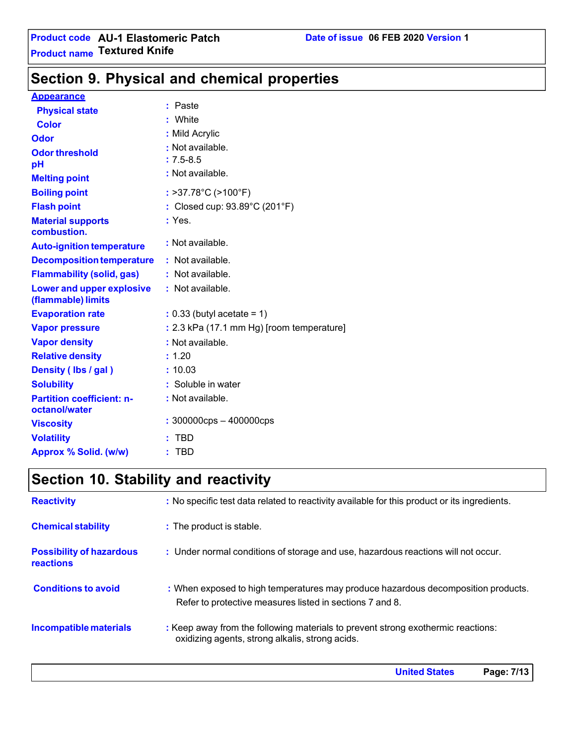# **Section 9. Physical and chemical properties**

### **Appearance**

| <b>Physical state</b>                             | : Paste<br>: White                                 |
|---------------------------------------------------|----------------------------------------------------|
| <b>Color</b>                                      | : Mild Acrylic                                     |
| Odor                                              | : Not available.                                   |
| <b>Odor threshold</b>                             |                                                    |
| рH                                                | $: 7.5 - 8.5$                                      |
| <b>Melting point</b>                              | : Not available.                                   |
| <b>Boiling point</b>                              | $:$ >37.78 $^{\circ}$ C (>100 $^{\circ}$ F)        |
| <b>Flash point</b>                                | : Closed cup: $93.89^{\circ}$ C (201 $^{\circ}$ F) |
| <b>Material supports</b><br>combustion.           | : Yes.                                             |
| <b>Auto-ignition temperature</b>                  | : Not available.                                   |
| <b>Decomposition temperature</b>                  | : Not available.                                   |
| <b>Flammability (solid, gas)</b>                  | : Not available.                                   |
| Lower and upper explosive<br>(flammable) limits   | : Not available.                                   |
| <b>Evaporation rate</b>                           | $: 0.33$ (butyl acetate = 1)                       |
| <b>Vapor pressure</b>                             | : 2.3 kPa (17.1 mm Hg) [room temperature]          |
| <b>Vapor density</b>                              | : Not available.                                   |
| <b>Relative density</b>                           | : 1.20                                             |
| Density (Ibs / gal)                               | : 10.03                                            |
| <b>Solubility</b>                                 | : Soluble in water                                 |
| <b>Partition coefficient: n-</b><br>octanol/water | : Not available.                                   |
| <b>Viscosity</b>                                  | $: 300000$ cps $-400000$ cps                       |
| <b>Volatility</b>                                 | <b>TBD</b>                                         |
| Approx % Solid. (w/w)                             | TBD                                                |

# **Section 10. Stability and reactivity**

| <b>Reactivity</b>                                   | : No specific test data related to reactivity available for this product or its ingredients.                                                  |
|-----------------------------------------------------|-----------------------------------------------------------------------------------------------------------------------------------------------|
| <b>Chemical stability</b>                           | : The product is stable.                                                                                                                      |
| <b>Possibility of hazardous</b><br><b>reactions</b> | : Under normal conditions of storage and use, hazardous reactions will not occur.                                                             |
| <b>Conditions to avoid</b>                          | : When exposed to high temperatures may produce hazardous decomposition products.<br>Refer to protective measures listed in sections 7 and 8. |
| Incompatible materials                              | : Keep away from the following materials to prevent strong exothermic reactions:<br>oxidizing agents, strong alkalis, strong acids.           |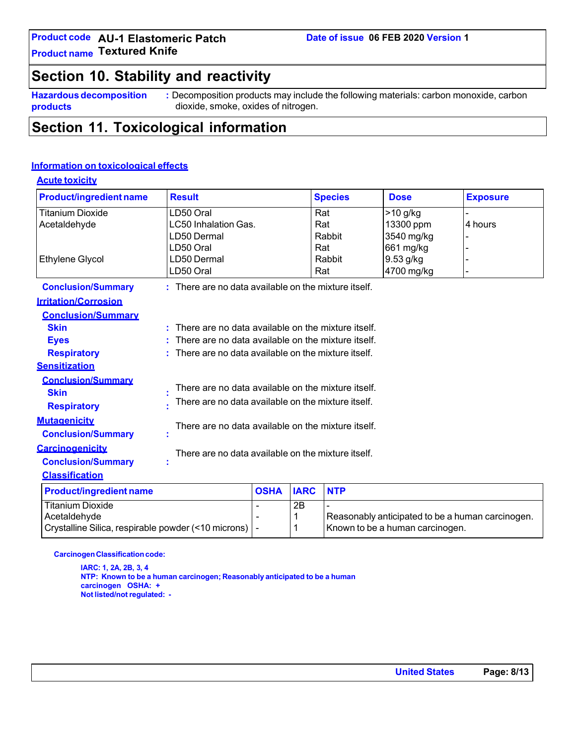### **Product code AU-1 Elastomeric Patch Product name Textured Knife**

# **Section 10. Stability and reactivity**

**Hazardous decomposition products**

**:** Decomposition products may include the following materials: carbon monoxide, carbon dioxide, smoke, oxides of nitrogen.

# **Section 11. Toxicological information**

### **Information on toxicological effects**

| <b>Acute toxicity</b>          |                                                        |             |             |                |                                                  |                 |
|--------------------------------|--------------------------------------------------------|-------------|-------------|----------------|--------------------------------------------------|-----------------|
| <b>Product/ingredient name</b> | <b>Result</b>                                          |             |             | <b>Species</b> | <b>Dose</b>                                      | <b>Exposure</b> |
| <b>Titanium Dioxide</b>        | LD50 Oral                                              |             |             | Rat            | $>10$ g/kg                                       |                 |
| Acetaldehyde                   | LC50 Inhalation Gas.                                   |             |             | Rat            | 13300 ppm                                        | 4 hours         |
|                                | LD50 Dermal                                            |             |             | Rabbit         | 3540 mg/kg                                       |                 |
|                                | LD50 Oral                                              |             |             | Rat            | 661 mg/kg                                        |                 |
| <b>Ethylene Glycol</b>         | LD50 Dermal                                            |             |             | Rabbit         | 9.53 g/kg                                        |                 |
|                                | LD50 Oral                                              |             |             | Rat            | 4700 mg/kg                                       |                 |
| <b>Conclusion/Summary</b>      | $:$ There are no data available on the mixture itself. |             |             |                |                                                  |                 |
| <b>Irritation/Corrosion</b>    |                                                        |             |             |                |                                                  |                 |
| <b>Conclusion/Summary</b>      |                                                        |             |             |                |                                                  |                 |
| <b>Skin</b>                    | There are no data available on the mixture itself.     |             |             |                |                                                  |                 |
| <b>Eyes</b>                    | There are no data available on the mixture itself.     |             |             |                |                                                  |                 |
| <b>Respiratory</b>             | There are no data available on the mixture itself.     |             |             |                |                                                  |                 |
| <b>Sensitization</b>           |                                                        |             |             |                |                                                  |                 |
| <b>Conclusion/Summary</b>      |                                                        |             |             |                |                                                  |                 |
| <b>Skin</b>                    | There are no data available on the mixture itself.     |             |             |                |                                                  |                 |
| <b>Respiratory</b>             | There are no data available on the mixture itself.     |             |             |                |                                                  |                 |
| <b>Mutagenicity</b>            |                                                        |             |             |                |                                                  |                 |
| <b>Conclusion/Summary</b>      | There are no data available on the mixture itself.     |             |             |                |                                                  |                 |
| <b>Carcinogenicity</b>         | There are no data available on the mixture itself.     |             |             |                |                                                  |                 |
| <b>Conclusion/Summary</b>      |                                                        |             |             |                |                                                  |                 |
| <b>Classification</b>          |                                                        |             |             |                |                                                  |                 |
| <b>Product/ingredient name</b> |                                                        | <b>OSHA</b> | <b>IARC</b> | <b>NTP</b>     |                                                  |                 |
| <b>Titanium Dioxide</b>        |                                                        |             | 2B          |                |                                                  |                 |
| Acetaldehyde                   |                                                        |             | 1           |                | Reasonably anticipated to be a human carcinogen. |                 |

**Carcinogen Classification code:** 

**IARC: 1, 2A, 2B, 3, 4 NTP: Known to be a human carcinogen; Reasonably anticipated to be a human carcinogen OSHA: + Not listed/not regulated: -**

Crystalline Silica, respirable powder (<10 microns)  $\vert \cdot \vert$  | Known to be a human carcinogen.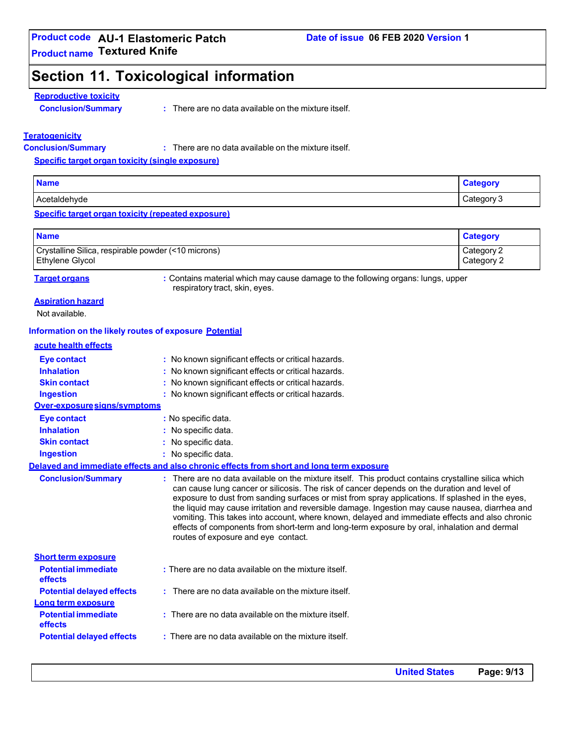# **Section 11. Toxicological information**

### **Reproductive toxicity**

**Conclusion/Summary :**

: There are no data available on the mixture itself.

### **Teratogenicity**

**Conclusion/Summary :**

There are no data available on the mixture itself.

**Specific target organ toxicity (single exposure)**

| <b>Name</b>  | $\sim$ $\sim$ $\sim$ $\sim$ |
|--------------|-----------------------------|
| Acetaldehvde | Category                    |
| AUC.         | ີບ                          |

### **Specific target organ toxicity (repeated exposure)**

| <b>Name</b>                                         | <b>Category</b> |
|-----------------------------------------------------|-----------------|
| Crystalline Silica, respirable powder (<10 microns) | Category 2      |
| <b>Ethylene Glycol</b>                              | Category 2      |

**Target organs :** Contains material which may cause damage to the following organs: lungs, upper respiratory tract, skin, eyes.

### **Aspiration hazard**

Not available.

### **Information on the likely routes of exposure Potential**

### **acute health effects**

| <b>Eye contact</b><br><b>Inhalation</b>          | : No known significant effects or critical hazards.<br>: No known significant effects or critical hazards.                                                                                                                                                                                                                                                                                                                                                                                                                                                                                                                                        |
|--------------------------------------------------|---------------------------------------------------------------------------------------------------------------------------------------------------------------------------------------------------------------------------------------------------------------------------------------------------------------------------------------------------------------------------------------------------------------------------------------------------------------------------------------------------------------------------------------------------------------------------------------------------------------------------------------------------|
| <b>Skin contact</b>                              | : No known significant effects or critical hazards.                                                                                                                                                                                                                                                                                                                                                                                                                                                                                                                                                                                               |
| <b>Ingestion</b><br>Over-exposure signs/symptoms | : No known significant effects or critical hazards.                                                                                                                                                                                                                                                                                                                                                                                                                                                                                                                                                                                               |
|                                                  | : No specific data.                                                                                                                                                                                                                                                                                                                                                                                                                                                                                                                                                                                                                               |
| <b>Eye contact</b><br><b>Inhalation</b>          | : No specific data.                                                                                                                                                                                                                                                                                                                                                                                                                                                                                                                                                                                                                               |
| <b>Skin contact</b>                              |                                                                                                                                                                                                                                                                                                                                                                                                                                                                                                                                                                                                                                                   |
|                                                  | : No specific data.                                                                                                                                                                                                                                                                                                                                                                                                                                                                                                                                                                                                                               |
| <b>Ingestion</b>                                 | $:$ No specific data.                                                                                                                                                                                                                                                                                                                                                                                                                                                                                                                                                                                                                             |
|                                                  | Delayed and immediate effects and also chronic effects from short and long term exposure                                                                                                                                                                                                                                                                                                                                                                                                                                                                                                                                                          |
| <b>Conclusion/Summary</b>                        | : There are no data available on the mixture itself. This product contains crystalline silica which<br>can cause lung cancer or silicosis. The risk of cancer depends on the duration and level of<br>exposure to dust from sanding surfaces or mist from spray applications. If splashed in the eyes,<br>the liquid may cause irritation and reversible damage. Ingestion may cause nausea, diarrhea and<br>vomiting. This takes into account, where known, delayed and immediate effects and also chronic<br>effects of components from short-term and long-term exposure by oral, inhalation and dermal<br>routes of exposure and eye contact. |
| <b>Short term exposure</b>                       |                                                                                                                                                                                                                                                                                                                                                                                                                                                                                                                                                                                                                                                   |
| <b>Potential immediate</b><br><b>effects</b>     | : There are no data available on the mixture itself.                                                                                                                                                                                                                                                                                                                                                                                                                                                                                                                                                                                              |
| <b>Potential delayed effects</b>                 | : There are no data available on the mixture itself.                                                                                                                                                                                                                                                                                                                                                                                                                                                                                                                                                                                              |
| Long term exposure                               |                                                                                                                                                                                                                                                                                                                                                                                                                                                                                                                                                                                                                                                   |
| <b>Potential immediate</b><br><b>effects</b>     | : There are no data available on the mixture itself.                                                                                                                                                                                                                                                                                                                                                                                                                                                                                                                                                                                              |
| <b>Potential delayed effects</b>                 | : There are no data available on the mixture itself.                                                                                                                                                                                                                                                                                                                                                                                                                                                                                                                                                                                              |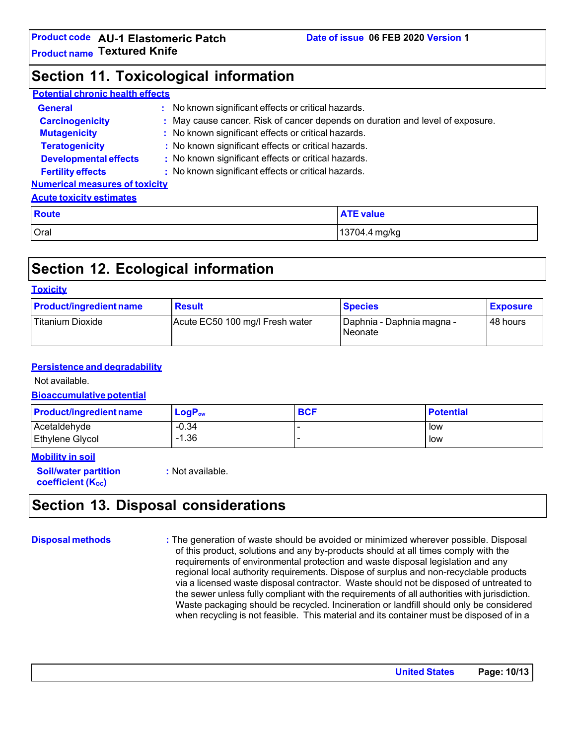## **Section 11. Toxicological information**

### **Potential chronic health effects**

| <b>General</b>                        | No known significant effects or critical hazards.                             |
|---------------------------------------|-------------------------------------------------------------------------------|
| <b>Carcinogenicity</b>                | : May cause cancer. Risk of cancer depends on duration and level of exposure. |
| <b>Mutagenicity</b>                   | : No known significant effects or critical hazards.                           |
| <b>Teratogenicity</b>                 | : No known significant effects or critical hazards.                           |
| <b>Developmental effects</b>          | : No known significant effects or critical hazards.                           |
| <b>Fertility effects</b>              | : No known significant effects or critical hazards.                           |
| <b>Numerical measures of toxicity</b> |                                                                               |
| <b>Acute toxicity estimates</b>       |                                                                               |
| <b>Route</b>                          | <b>ATE value</b>                                                              |

# **Section 12. Ecological information**

### **Toxicity**

| <b>Product/ingredient name</b> | <b>Result</b>                   | <b>Species</b>                              | <b>Exposure</b> |
|--------------------------------|---------------------------------|---------------------------------------------|-----------------|
| <b>Titanium Dioxide</b>        | Acute EC50 100 mg/l Fresh water | Daphnia - Daphnia magna -<br><b>Neonate</b> | 48 hours        |

### **Persistence and degradability**

Not available.

### **Bioaccumulative potential**

| <b>Product/ingredient name</b> | $\mathsf{LogP}_\mathsf{ow}$ | <b>BCF</b> | <b>Potential</b> |
|--------------------------------|-----------------------------|------------|------------------|
| Acetaldehyde                   | $-0.34$                     |            | low              |
| Ethylene Glycol                | $-1.36$                     |            | low              |

### **Mobility in soil**

**Soil/water partition coefficient** (K<sub>oc</sub>)

**:** Not available.

Oral 13704.4 mg/kg

## **Section 13. Disposal considerations**

**Disposal methods :** The generation of waste should be avoided or minimized wherever possible. Disposal of this product, solutions and any by-products should at all times comply with the requirements of environmental protection and waste disposal legislation and any regional local authority requirements. Dispose of surplus and non-recyclable products via a licensed waste disposal contractor. Waste should not be disposed of untreated to the sewer unless fully compliant with the requirements of all authorities with jurisdiction. Waste packaging should be recycled. Incineration or landfill should only be considered when recycling is not feasible. This material and its container must be disposed of in a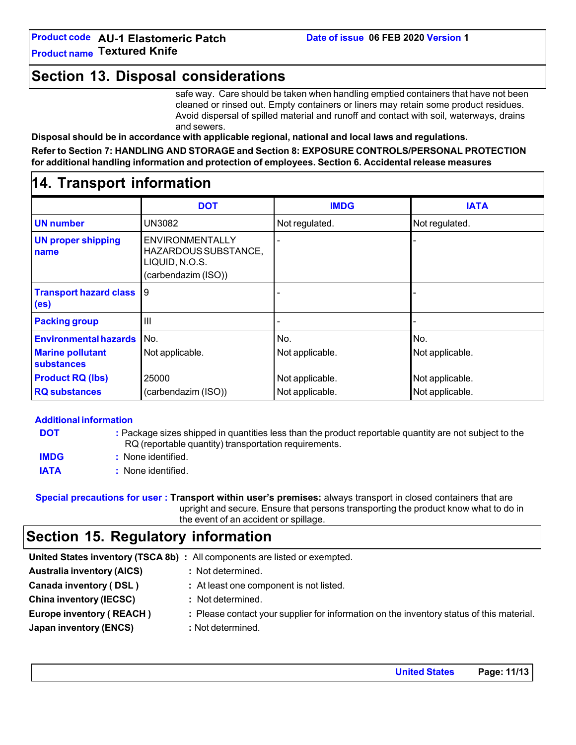## **Section 13. Disposal considerations**

safe way. Care should be taken when handling emptied containers that have not been cleaned or rinsed out. Empty containers or liners may retain some product residues. Avoid dispersal of spilled material and runoff and contact with soil, waterways, drains and sewers.

**Disposal should be in accordance with applicable regional, national and local laws and regulations.**

**Refer to Section 7: HANDLING AND STORAGE and Section 8: EXPOSURE CONTROLS/PERSONAL PROTECTION for additional handling information and protection of employees. Section 6. Accidental release measures**

## **14. Transport information**

|                                                    | <b>DOT</b>                                                                              | <b>IMDG</b>     | <b>IATA</b>     |
|----------------------------------------------------|-----------------------------------------------------------------------------------------|-----------------|-----------------|
| <b>UN number</b>                                   | UN3082                                                                                  | Not regulated.  | Not regulated.  |
| <b>UN proper shipping</b><br>name                  | <b>ENVIRONMENTALLY</b><br>HAZARDOUS SUBSTANCE,<br>LIQUID, N.O.S.<br>(carbendazim (ISO)) |                 |                 |
| <b>Transport hazard class</b><br>(e <sub>s</sub> ) | 9                                                                                       |                 |                 |
| <b>Packing group</b>                               | $\mathbf{III}$                                                                          |                 |                 |
| <b>Environmental hazards</b>                       | No.                                                                                     | No.             | No.             |
| <b>Marine pollutant</b><br><b>substances</b>       | Not applicable.                                                                         | Not applicable. | Not applicable. |
| <b>Product RQ (lbs)</b>                            | 25000                                                                                   | Not applicable. | Not applicable. |
| <b>RQ substances</b>                               | (carbendazim (ISO))                                                                     | Not applicable. | Not applicable. |

| <b>Additional information</b> |                                                                                                                                                                 |
|-------------------------------|-----------------------------------------------------------------------------------------------------------------------------------------------------------------|
| <b>DOT</b>                    | : Package sizes shipped in quantities less than the product reportable quantity are not subject to the<br>RQ (reportable quantity) transportation requirements. |
| <b>IMDG</b>                   | : None identified.                                                                                                                                              |
| <b>IATA</b>                   | : None identified.                                                                                                                                              |

**Special precautions for user : Transport within user's premises:** always transport in closed containers that are upright and secure. Ensure that persons transporting the product know what to do in the event of an accident or spillage.

# **Section 15. Regulatory information**

|                                   | United States inventory (TSCA 8b) : All components are listed or exempted.               |
|-----------------------------------|------------------------------------------------------------------------------------------|
| <b>Australia inventory (AICS)</b> | : Not determined.                                                                        |
| Canada inventory (DSL)            | : At least one component is not listed.                                                  |
| <b>China inventory (IECSC)</b>    | : Not determined.                                                                        |
| <b>Europe inventory (REACH)</b>   | : Please contact your supplier for information on the inventory status of this material. |
| Japan inventory (ENCS)            | : Not determined.                                                                        |
|                                   |                                                                                          |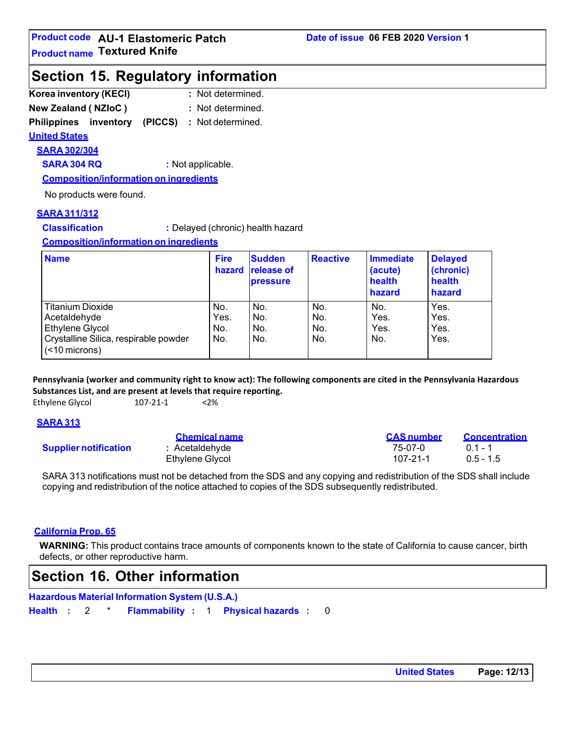## **Section 15. Regulatory information**

| Korea inventory (KECI)     | : Not determined. |  |  |
|----------------------------|-------------------|--|--|
| <b>New Zealand (NZIoC)</b> | : Not determined. |  |  |

**Philippines inventory (PICCS) :** Not determined.

**United States**

# **SARA 302/304**

**SARA 304 RQ :** Not applicable.

**Composition/information on ingredients**

No products were found.

### **SARA 311/312**

**Classification :** Delayed (chronic) health hazard

**Composition/information on ingredients**

| <b>Name</b>                                            | <b>Fire</b><br>hazard | <b>Sudden</b><br><b>release of</b><br><b>pressure</b> | <b>Reactive</b> | Immediate<br>(acute)<br>health<br>hazard | <b>Delayed</b><br>(chronic)<br>health<br>hazard |
|--------------------------------------------------------|-----------------------|-------------------------------------------------------|-----------------|------------------------------------------|-------------------------------------------------|
| <b>Titanium Dioxide</b>                                | No.                   | No.                                                   | No.             | No.                                      | Yes.                                            |
| Acetaldehyde                                           | Yes.                  | No.                                                   | No.             | Yes.                                     | Yes.                                            |
| Ethylene Glycol                                        | No.                   | No.                                                   | No.             | Yes.                                     | Yes.                                            |
| Crystalline Silica, respirable powder<br>(<10 microns) | No.                   | No.                                                   | No.             | No.                                      | Yes.                                            |

**Pennsylvania (worker and community right to know act): The following components are cited in the Pennsylvania Hazardous Substances List, and are present at levels that require reporting.**

Ethylene Glycol 107-21-1 <2%

### **SARA 313**

**Supplier notification** 

| <u>Gremlear rame</u> |  |
|----------------------|--|
| : Acetaldehyde       |  |
| Ethylene Glycol      |  |

| <b>Chemical name</b>  | <b>CAS</b> number | <b>Concentration</b> |
|-----------------------|-------------------|----------------------|
| <b>:</b> Acetaldehyde | 75-07-0           | $01 - 1$             |
| Ethylene Glycol       | 107-21-1          | $0.5 - 1.5$          |

SARA 313 notifications must not be detached from the SDS and any copying and redistribution of the SDS shall include copying and redistribution of the notice attached to copies of the SDS subsequently redistributed.

### **California Prop. 65**

**WARNING:** This product contains trace amounts of components known to the state of California to cause cancer, birth defects, or other reproductive harm.

# **Section 16. Other information**

**Hazardous Material Information System (U.S.A.)**

**Health :** 2 \* **Flammability :** 1 **Physical hazards :** 0